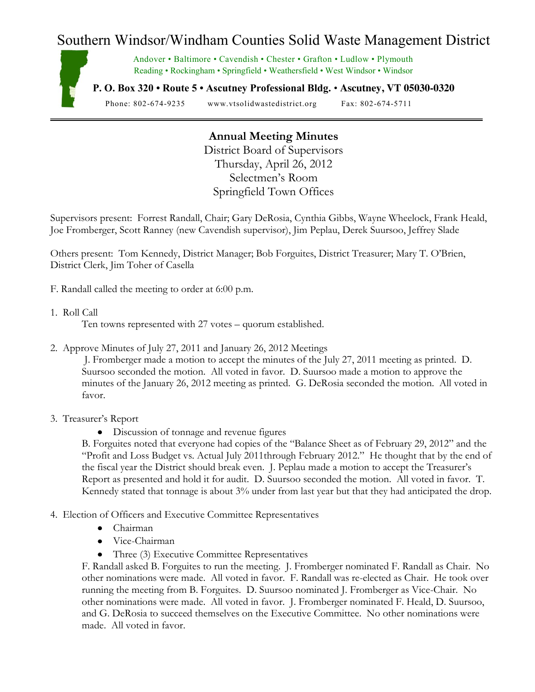## Southern Windsor/Windham Counties Solid Waste Management District



Andover • Baltimore • Cavendish • Chester • Grafton • Ludlow • Plymouth Reading • Rockingham • Springfield • Weathersfield • West Windsor • Windsor

**P. O. Box 320 • Route 5 • Ascutney Professional Bldg.** • **Ascutney, VT 05030-0320**

Phone: 802-674-9235 www.vtsolidwastedistrict.org Fax: 802-674-5711

## **Annual Meeting Minutes**

District Board of Supervisors Thursday, April 26, 2012 Selectmen's Room Springfield Town Offices

Supervisors present: Forrest Randall, Chair; Gary DeRosia, Cynthia Gibbs, Wayne Wheelock, Frank Heald, Joe Fromberger, Scott Ranney (new Cavendish supervisor), Jim Peplau, Derek Suursoo, Jeffrey Slade

Others present: Tom Kennedy, District Manager; Bob Forguites, District Treasurer; Mary T. O'Brien, District Clerk, Jim Toher of Casella

F. Randall called the meeting to order at 6:00 p.m.

1. Roll Call

Ten towns represented with 27 votes – quorum established.

2. Approve Minutes of July 27, 2011 and January 26, 2012 Meetings

J. Fromberger made a motion to accept the minutes of the July 27, 2011 meeting as printed. D. Suursoo seconded the motion. All voted in favor. D. Suursoo made a motion to approve the minutes of the January 26, 2012 meeting as printed. G. DeRosia seconded the motion. All voted in favor.

## 3. Treasurer's Report

Discussion of tonnage and revenue figures

B. Forguites noted that everyone had copies of the "Balance Sheet as of February 29, 2012" and the "Profit and Loss Budget vs. Actual July 2011through February 2012." He thought that by the end of the fiscal year the District should break even. J. Peplau made a motion to accept the Treasurer's Report as presented and hold it for audit. D. Suursoo seconded the motion. All voted in favor. T. Kennedy stated that tonnage is about  $3\%$  under from last year but that they had anticipated the drop.

- 4. Election of Officers and Executive Committee Representatives
	- Chairman
	- Vice-Chairman
	- Three (3) Executive Committee Representatives

F. Randall asked B. Forguites to run the meeting. J. Fromberger nominated F. Randall as Chair. No other nominations were made. All voted in favor. F. Randall was re-elected as Chair. He took over running the meeting from B. Forguites. D. Suursoo nominated J. Fromberger as Vice-Chair. No other nominations were made. All voted in favor. J. Fromberger nominated F. Heald, D. Suursoo, and G. DeRosia to succeed themselves on the Executive Committee. No other nominations were made. All voted in favor.